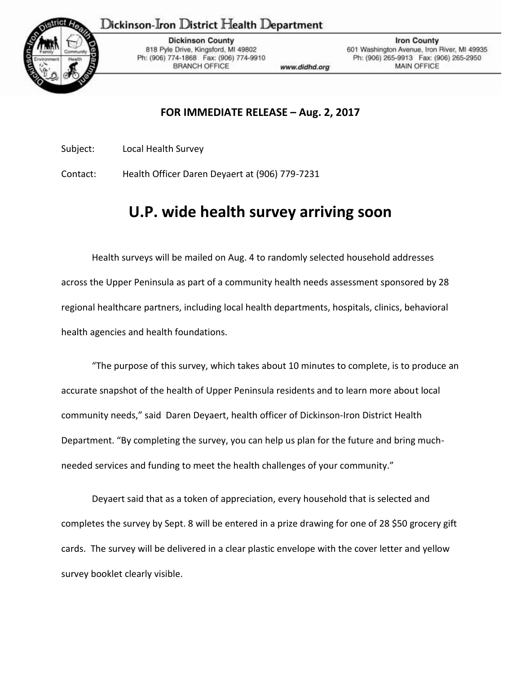## Dickinson-Iron District Health Department



**Dickinson County** 818 Pyle Drive, Kingsford, MI 49802 Ph: (906) 774-1868 Fax: (906) 774-9910 **BRANCH OFFICE** 

www.didhd.org

**Iron County** 601 Washington Avenue, Iron River, MI 49935 Ph: (906) 265-9913 Fax: (906) 265-2950 MAIN OFFICE

## **FOR IMMEDIATE RELEASE – Aug. 2, 2017**

Subject: Local Health Survey

Contact: Health Officer Daren Deyaert at (906) 779-7231

## **U.P. wide health survey arriving soon**

Health surveys will be mailed on Aug. 4 to randomly selected household addresses across the Upper Peninsula as part of a community health needs assessment sponsored by 28 regional healthcare partners, including local health departments, hospitals, clinics, behavioral health agencies and health foundations.

"The purpose of this survey, which takes about 10 minutes to complete, is to produce an accurate snapshot of the health of Upper Peninsula residents and to learn more about local community needs," said Daren Deyaert, health officer of Dickinson-Iron District Health Department. "By completing the survey, you can help us plan for the future and bring muchneeded services and funding to meet the health challenges of your community."

Deyaert said that as a token of appreciation, every household that is selected and completes the survey by Sept. 8 will be entered in a prize drawing for one of 28 \$50 grocery gift cards. The survey will be delivered in a clear plastic envelope with the cover letter and yellow survey booklet clearly visible.